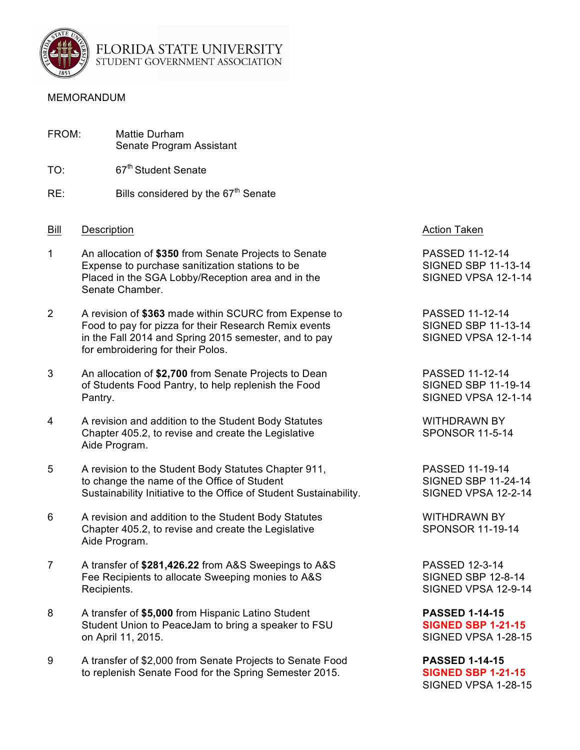

FLORIDA STATE UNIVERSITY STUDENT GOVERNMENT ASSOCIATION

### MEMORANDUM

| FROM: |                                                                                                                                                                                  | Mattie Durham<br>Senate Program Assistant                                                                                                                                                                    |  |
|-------|----------------------------------------------------------------------------------------------------------------------------------------------------------------------------------|--------------------------------------------------------------------------------------------------------------------------------------------------------------------------------------------------------------|--|
| TO:   |                                                                                                                                                                                  | 67 <sup>th</sup> Student Senate                                                                                                                                                                              |  |
| RE:   |                                                                                                                                                                                  | Bills considered by the 67 <sup>th</sup> Senate                                                                                                                                                              |  |
| Bill  | Description                                                                                                                                                                      |                                                                                                                                                                                                              |  |
| 1     | An allocation of \$350 from Senate Projects to Senate<br>Expense to purchase sanitization stations to be<br>Placed in the SGA Lobby/Reception area and in the<br>Senate Chamber. |                                                                                                                                                                                                              |  |
| 2     |                                                                                                                                                                                  | A revision of \$363 made within SCURC from Expense to<br>Food to pay for pizza for their Research Remix events<br>in the Fall 2014 and Spring 2015 semester, and to pay<br>for embroidering for their Polos. |  |
| 3     | An allocation of \$2,700 from Senate Projects to Dean<br>of Students Food Pantry, to help replenish the Food<br>Pantry.                                                          |                                                                                                                                                                                                              |  |
| 4     |                                                                                                                                                                                  | A revision and addition to the Student Body Statutes<br>Chapter 405.2, to revise and create the Legislative<br>Aide Program.                                                                                 |  |
| 5     |                                                                                                                                                                                  | A revision to the Student Body Statutes Chapter 911,<br>to change the name of the Office of Student<br>Sustainability Initiative to the Office of Student Sustainability                                     |  |
| 6     |                                                                                                                                                                                  | A revision and addition to the Student Body Statutes<br>Chapter 405.2, to revise and create the Legislative<br>Aide Program.                                                                                 |  |
|       |                                                                                                                                                                                  |                                                                                                                                                                                                              |  |

- 7 A transfer of **\$281,426.22** from A&S Sweepings to A&S PASSED 12-3-14 Fee Recipients to allocate Sweeping monies to A&S SIGNED SBP 12-8-14 Recipients. SIGNED VPSA 12-9-14
- 8 A transfer of **\$5,000** from Hispanic Latino Student **PASSED 1-14-15** Student Union to PeaceJam to bring a speaker to FSU on April 11, 2015. SIGNED VPSA 1-28-15
- 9 A transfer of \$2,000 from Senate Projects to Senate Food **PASSED 1-14-15** to replenish Senate Food for the Spring Semester 2015. **SIGNED SBP 1-21-15**

# Action Taken

**PASSED 11-12-14** SIGNED SBP 11-13-14 SIGNED VPSA 12-1-14

**PASSED 11-12-14** SIGNED SBP 11-13-14 SIGNED VPSA 12-1-14

PASSED 11-12-14 SIGNED SBP 11-19-14 SIGNED VPSA 12-1-14

WITHDRAWN BY SPONSOR 11-5-14

PASSED 11-19-14 SIGNED SBP 11-24-14 SIGNED VPSA 12-2-14

WITHDRAWN BY SPONSOR 11-19-14

SIGNED VPSA 1-28-15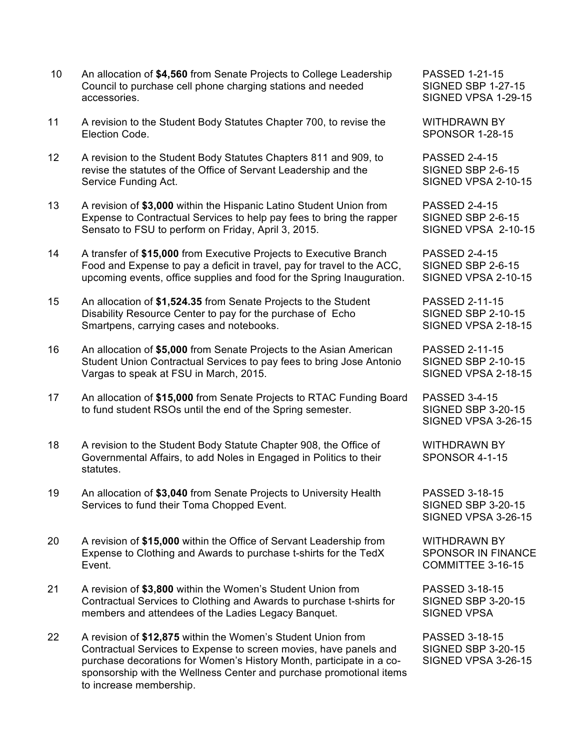- 10 An allocation of **\$4,560** from Senate Projects to College Leadership PASSED 1-21-15 Council to purchase cell phone charging stations and needed SIGNED SBP 1-27-15 accessories. SIGNED VPSA 1-29-15
- 11 A revision to the Student Body Statutes Chapter 700, to revise the WITHDRAWN BY Election Code. SPONSOR 1-28-15
- 12 A revision to the Student Body Statutes Chapters 811 and 909, to PASSED 2-4-15 revise the statutes of the Office of Servant Leadership and the SIGNED SBP 2-6-15 Service Funding Act. States of the SIGNED VPSA 2-10-15
- 13 A revision of **\$3,000** within the Hispanic Latino Student Union from PASSED 2-4-15 Expense to Contractual Services to help pay fees to bring the rapper SIGNED SBP 2-6-15 Sensato to FSU to perform on Friday, April 3, 2015. SIGNED VPSA 2-10-15
- 14 A transfer of **\$15,000** from Executive Projects to Executive Branch PASSED 2-4-15 Food and Expense to pay a deficit in travel, pay for travel to the ACC, SIGNED SBP 2-6-15 upcoming events, office supplies and food for the Spring Inauguration. SIGNED VPSA 2-10-15
- 15 An allocation of **\$1,524.35** from Senate Projects to the Student PASSED 2-11-15 Disability Resource Center to pay for the purchase of Echo SIGNED SBP 2-10-15 Smartpens, carrying cases and notebooks. SIGNED VPSA 2-18-15
- 16 An allocation of **\$5,000** from Senate Projects to the Asian American PASSED 2-11-15 Student Union Contractual Services to pay fees to bring Jose Antonio SIGNED SBP 2-10-15 Vargas to speak at FSU in March, 2015. Notice that the SIGNED VPSA 2-18-15
- 17 An allocation of **\$15,000** from Senate Projects to RTAC Funding Board PASSED 3-4-15 to fund student RSOs until the end of the Spring semester. SIGNED SBP 3-20-15
- 18 A revision to the Student Body Statute Chapter 908, the Office of WITHDRAWN BY Governmental Affairs, to add Noles in Engaged in Politics to their SPONSOR 4-1-15 statutes.
- 19 An allocation of **\$3,040** from Senate Projects to University Health PASSED 3-18-15 Services to fund their Toma Chopped Event.<br>SIGNED SBP 3-20-15
- 20 A revision of **\$15,000** within the Office of Servant Leadership from WITHDRAWN BY Expense to Clothing and Awards to purchase t-shirts for the TedX SPONSOR IN FINANCE Event. COMMITTEE 3-16-15
- 21 A revision of **\$3,800** within the Women's Student Union from PASSED 3-18-15 Contractual Services to Clothing and Awards to purchase t-shirts for SIGNED SBP 3-20-15 members and attendees of the Ladies Legacy Banquet. SIGNED VPSA
- 22 A revision of **\$12,875** within the Women's Student Union from PASSED 3-18-15 Contractual Services to Expense to screen movies, have panels and SIGNED SBP 3-20-15 purchase decorations for Women's History Month, participate in a co- SIGNED VPSA 3-26-15 sponsorship with the Wellness Center and purchase promotional items to increase membership.

SIGNED VPSA 3-26-15

SIGNED VPSA 3-26-15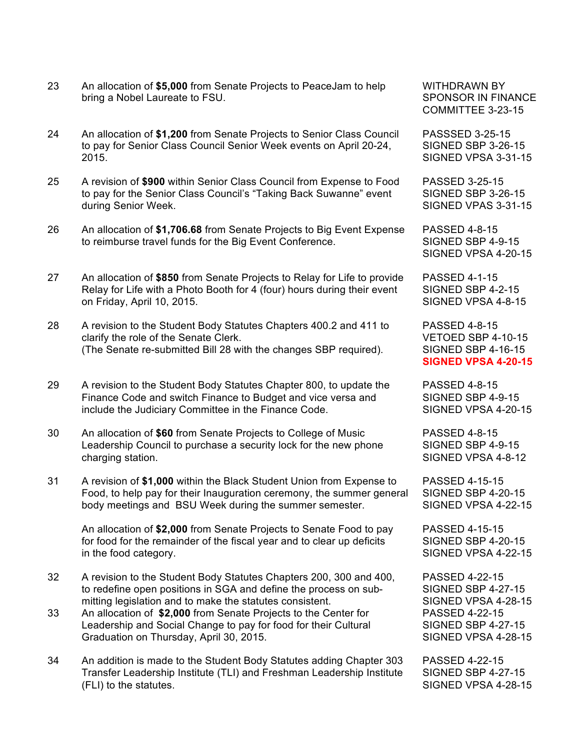- 23 An allocation of **\$5,000** from Senate Projects to PeaceJam to help WITHDRAWN BY bring a Nobel Laureate to FSU. SPONSOR IN FINANCE
- 24 An allocation of **\$1,200** from Senate Projects to Senior Class Council PASSSED 3-25-15 to pay for Senior Class Council Senior Week events on April 20-24, SIGNED SBP 3-26-15 2015. SIGNED VPSA 3-31-15
- 25 A revision of **\$900** within Senior Class Council from Expense to Food PASSED 3-25-15 to pay for the Senior Class Council's "Taking Back Suwanne" event SIGNED SBP 3-26-15 during Senior Week. Signed a state of the SIGNED VPAS 3-31-15
- 26 An allocation of **\$1,706.68** from Senate Projects to Big Event Expense PASSED 4-8-15 to reimburse travel funds for the Big Event Conference. SIGNED SBP 4-9-15
- 27 An allocation of **\$850** from Senate Projects to Relay for Life to provide PASSED 4-1-15 Relay for Life with a Photo Booth for 4 (four) hours during their event SIGNED SBP 4-2-15 on Friday, April 10, 2015. SIGNED VPSA 4-8-15
- 28 A revision to the Student Body Statutes Chapters 400.2 and 411 to PASSED 4-8-15 clarify the role of the Senate Clerk. VETOED SBP 4-10-15 (The Senate re-submitted Bill 28 with the changes SBP required). SIGNED SBP 4-16-15
- 29 A revision to the Student Body Statutes Chapter 800, to update the PASSED 4-8-15 Finance Code and switch Finance to Budget and vice versa and SIGNED SBP 4-9-15 include the Judiciary Committee in the Finance Code. SIGNED VPSA 4-20-15
- 30 An allocation of **\$60** from Senate Projects to College of Music PASSED 4-8-15 Leadership Council to purchase a security lock for the new phone SIGNED SBP 4-9-15 charging station. SIGNED VPSA 4-8-12
- 31 A revision of **\$1,000** within the Black Student Union from Expense to PASSED 4-15-15 Food, to help pay for their Inauguration ceremony, the summer general SIGNED SBP 4-20-15 body meetings and BSU Week during the summer semester. SIGNED VPSA 4-22-15

An allocation of **\$2,000** from Senate Projects to Senate Food to pay PASSED 4-15-15 for food for the remainder of the fiscal year and to clear up deficits SIGNED SBP 4-20-15 in the food category. The state of the state of the state of the SIGNED VPSA 4-22-15

- 32 A revision to the Student Body Statutes Chapters 200, 300 and 400, PASSED 4-22-15 to redefine open positions in SGA and define the process on sub- SIGNED SBP 4-27-15 mitting legislation and to make the statutes consistent. SIGNED VPSA 4-28-15
- 33 An allocation of **\$2,000** from Senate Projects to the Center for PASSED 4-22-15 Leadership and Social Change to pay for food for their Cultural SIGNED SBP 4-27-15 Graduation on Thursday, April 30, 2015. The State of the State State State State State State State State State State State State State State State State State State State State State State State State State State State Sta
- 34 An addition is made to the Student Body Statutes adding Chapter 303 PASSED 4-22-15 Transfer Leadership Institute (TLI) and Freshman Leadership Institute SIGNED SBP 4-27-15 (FLI) to the statutes. The statutes of the statutes of the statutes of the statutes of the statutes of the statute of the statute of the statute of the statute of the statute of the statute of the statute of the statute of

COMMITTEE 3-23-15

SIGNED VPSA 4-20-15

**SIGNED VPSA 4-20-15**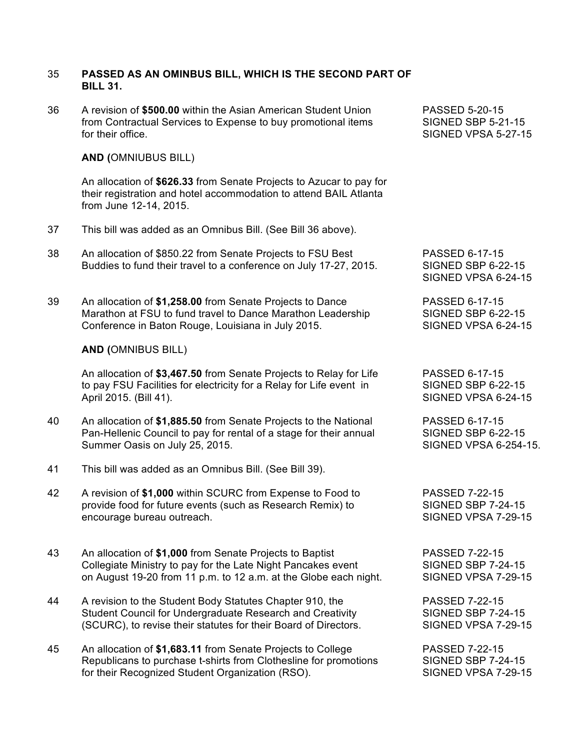## 35 **PASSED AS AN OMINBUS BILL, WHICH IS THE SECOND PART OF BILL 31.**

36 A revision of **\$500.00** within the Asian American Student Union PASSED 5-20-15 from Contractual Services to Expense to buy promotional items SIGNED SBP 5-21-15 for their office. SIGNED VPSA 5-27-15

## **AND (**OMNIUBUS BILL)

An allocation of **\$626.33** from Senate Projects to Azucar to pay for their registration and hotel accommodation to attend BAIL Atlanta from June 12-14, 2015.

- 37 This bill was added as an Omnibus Bill. (See Bill 36 above).
- 38 An allocation of \$850.22 from Senate Projects to FSU Best PASSED 6-17-15 Buddies to fund their travel to a conference on July 17-27, 2015. SIGNED SBP 6-22-15
- 39 An allocation of **\$1,258.00** from Senate Projects to Dance PASSED 6-17-15 Marathon at FSU to fund travel to Dance Marathon Leadership SIGNED SBP 6-22-15 Conference in Baton Rouge, Louisiana in July 2015. SIGNED VPSA 6-24-15

## **AND (**OMNIBUS BILL)

An allocation of \$3,467.50 from Senate Projects to Relay for Life PASSED 6-17-15 to pay FSU Facilities for electricity for a Relay for Life event in SIGNED SBP 6-22-15 April 2015. (Bill 41). SIGNED VPSA 6-24-15

- 40 An allocation of **\$1,885.50** from Senate Projects to the National PASSED 6-17-15 Pan-Hellenic Council to pay for rental of a stage for their annual SIGNED SBP 6-22-15 Summer Oasis on July 25, 2015. Summer Oasis on July 25, 2015.
- 41 This bill was added as an Omnibus Bill. (See Bill 39).
- 42 A revision of **\$1,000** within SCURC from Expense to Food to PASSED 7-22-15 provide food for future events (such as Research Remix) to SIGNED SBP 7-24-15 encourage bureau outreach. SIGNED VPSA 7-29-15
- 43 An allocation of **\$1,000** from Senate Projects to Baptist PASSED 7-22-15 Collegiate Ministry to pay for the Late Night Pancakes event SIGNED SBP 7-24-15 on August 19-20 from 11 p.m. to 12 a.m. at the Globe each night. SIGNED VPSA 7-29-15
- 44 A revision to the Student Body Statutes Chapter 910, the PASSED 7-22-15 Student Council for Undergraduate Research and Creativity SIGNED SBP 7-24-15 (SCURC), to revise their statutes for their Board of Directors. SIGNED VPSA 7-29-15
- 45 An allocation of **\$1,683.11** from Senate Projects to College PASSED 7-22-15<br>Republicans to purchase t-shirts from Clothesline for promotions SIGNED SBP 7-24-15 Republicans to purchase t-shirts from Clothesline for promotions for their Recognized Student Organization (RSO). SIGNED VPSA 7-29-15

SIGNED VPSA 6-24-15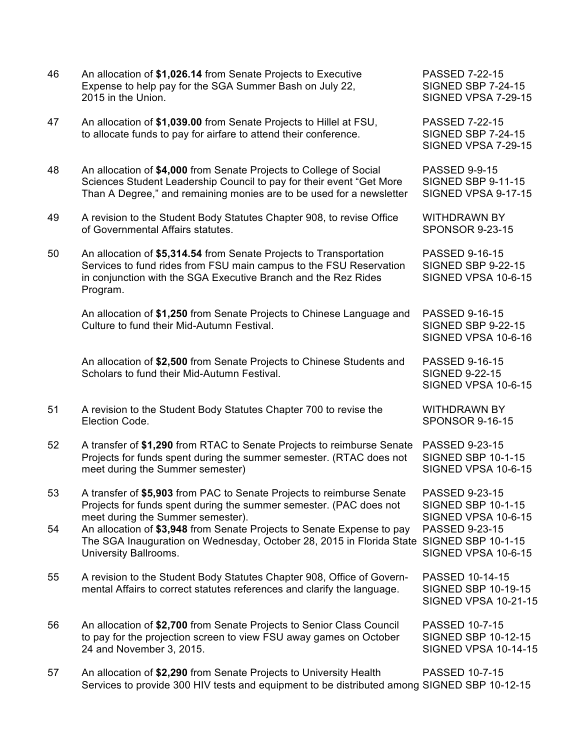| 46 | An allocation of \$1,026.14 from Senate Projects to Executive<br>Expense to help pay for the SGA Summer Bash on July 22,<br>2015 in the Union.                                                                         | <b>PASSED 7-22-15</b><br><b>SIGNED SBP 7-24-15</b><br>SIGNED VPSA 7-29-15          |
|----|------------------------------------------------------------------------------------------------------------------------------------------------------------------------------------------------------------------------|------------------------------------------------------------------------------------|
| 47 | An allocation of \$1,039.00 from Senate Projects to Hillel at FSU,<br>to allocate funds to pay for airfare to attend their conference.                                                                                 | PASSED 7-22-15<br><b>SIGNED SBP 7-24-15</b><br>SIGNED VPSA 7-29-15                 |
| 48 | An allocation of \$4,000 from Senate Projects to College of Social<br>Sciences Student Leadership Council to pay for their event "Get More<br>Than A Degree," and remaining monies are to be used for a newsletter     | <b>PASSED 9-9-15</b><br><b>SIGNED SBP 9-11-15</b><br>SIGNED VPSA 9-17-15           |
| 49 | A revision to the Student Body Statutes Chapter 908, to revise Office<br>of Governmental Affairs statutes.                                                                                                             | <b>WITHDRAWN BY</b><br><b>SPONSOR 9-23-15</b>                                      |
| 50 | An allocation of \$5,314.54 from Senate Projects to Transportation<br>Services to fund rides from FSU main campus to the FSU Reservation<br>in conjunction with the SGA Executive Branch and the Rez Rides<br>Program. | PASSED 9-16-15<br><b>SIGNED SBP 9-22-15</b><br>SIGNED VPSA 10-6-15                 |
|    | An allocation of \$1,250 from Senate Projects to Chinese Language and<br>Culture to fund their Mid-Autumn Festival.                                                                                                    | <b>PASSED 9-16-15</b><br><b>SIGNED SBP 9-22-15</b><br>SIGNED VPSA 10-6-16          |
|    | An allocation of \$2,500 from Senate Projects to Chinese Students and<br>Scholars to fund their Mid-Autumn Festival.                                                                                                   | PASSED 9-16-15<br><b>SIGNED 9-22-15</b><br>SIGNED VPSA 10-6-15                     |
| 51 | A revision to the Student Body Statutes Chapter 700 to revise the<br>Election Code.                                                                                                                                    | <b>WITHDRAWN BY</b><br><b>SPONSOR 9-16-15</b>                                      |
| 52 | A transfer of \$1,290 from RTAC to Senate Projects to reimburse Senate<br>Projects for funds spent during the summer semester. (RTAC does not<br>meet during the Summer semester)                                      | <b>PASSED 9-23-15</b><br><b>SIGNED SBP 10-1-15</b><br>SIGNED VPSA 10-6-15          |
| 53 | A transfer of \$5,903 from PAC to Senate Projects to reimburse Senate<br>Projects for funds spent during the summer semester. (PAC does not<br>meet during the Summer semester).                                       | PASSED 9-23-15<br><b>SIGNED SBP 10-1-15</b><br>SIGNED VPSA 10-6-15                 |
| 54 | An allocation of \$3,948 from Senate Projects to Senate Expense to pay<br>The SGA Inauguration on Wednesday, October 28, 2015 in Florida State SIGNED SBP 10-1-15<br>University Ballrooms.                             | PASSED 9-23-15<br>SIGNED VPSA 10-6-15                                              |
| 55 | A revision to the Student Body Statutes Chapter 908, Office of Govern-<br>mental Affairs to correct statutes references and clarify the language.                                                                      | PASSED 10-14-15<br><b>SIGNED SBP 10-19-15</b><br><b>SIGNED VPSA 10-21-15</b>       |
| 56 | An allocation of \$2,700 from Senate Projects to Senior Class Council<br>to pay for the projection screen to view FSU away games on October<br>24 and November 3, 2015.                                                | <b>PASSED 10-7-15</b><br><b>SIGNED SBP 10-12-15</b><br><b>SIGNED VPSA 10-14-15</b> |
| 57 | An allocation of \$2,290 from Senate Projects to University Health<br>Services to provide 300 HIV tests and equipment to be distributed among SIGNED SBP 10-12-15                                                      | <b>PASSED 10-7-15</b>                                                              |